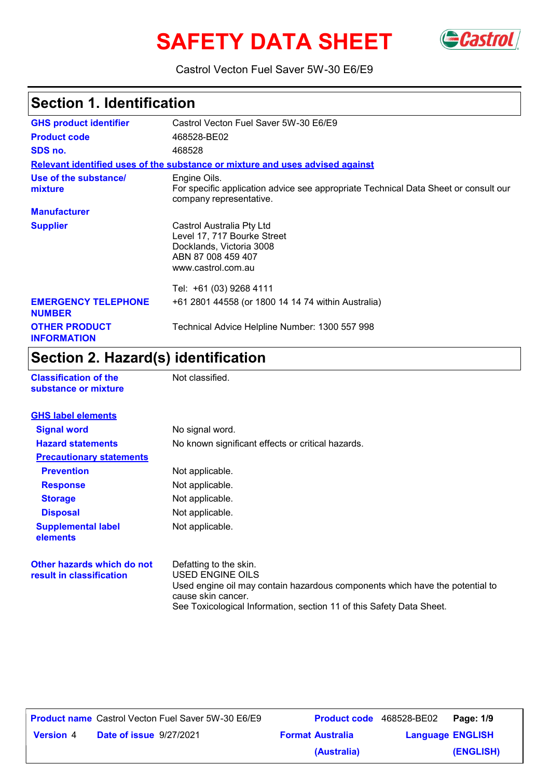# **SAFETY DATA SHEET** Gastrol



Castrol Vecton Fuel Saver 5W-30 E6/E9

### **Section 1. Identification**

| <b>GHS product identifier</b>               | Castrol Vecton Fuel Saver 5W-30 E6/E9                                                                                            |
|---------------------------------------------|----------------------------------------------------------------------------------------------------------------------------------|
| <b>Product code</b>                         | 468528-BE02                                                                                                                      |
| SDS no.                                     | 468528                                                                                                                           |
|                                             | Relevant identified uses of the substance or mixture and uses advised against                                                    |
| Use of the substance/<br>mixture            | Engine Oils.<br>For specific application advice see appropriate Technical Data Sheet or consult our<br>company representative.   |
| <b>Manufacturer</b>                         |                                                                                                                                  |
| <b>Supplier</b>                             | Castrol Australia Pty Ltd<br>Level 17, 717 Bourke Street<br>Docklands, Victoria 3008<br>ABN 87 008 459 407<br>www.castrol.com.au |
|                                             | Tel: +61 (03) 9268 4111                                                                                                          |
| <b>EMERGENCY TELEPHONE</b><br><b>NUMBER</b> | +61 2801 44558 (or 1800 14 14 74 within Australia)                                                                               |
| <b>OTHER PRODUCT</b><br><b>INFORMATION</b>  | Technical Advice Helpline Number: 1300 557 998                                                                                   |

### **Section 2. Hazard(s) identification**

| <b>Classification of the</b> |                      |  |
|------------------------------|----------------------|--|
|                              | substance or mixture |  |

**Not classified.** 

| <b>GHS label elements</b>                              |                                                                                                                                                  |
|--------------------------------------------------------|--------------------------------------------------------------------------------------------------------------------------------------------------|
|                                                        |                                                                                                                                                  |
| <b>Signal word</b>                                     | No signal word.                                                                                                                                  |
| <b>Hazard statements</b>                               | No known significant effects or critical hazards.                                                                                                |
| <b>Precautionary statements</b>                        |                                                                                                                                                  |
| <b>Prevention</b>                                      | Not applicable.                                                                                                                                  |
| <b>Response</b>                                        | Not applicable.                                                                                                                                  |
| <b>Storage</b>                                         | Not applicable.                                                                                                                                  |
| <b>Disposal</b>                                        | Not applicable.                                                                                                                                  |
| <b>Supplemental label</b><br>elements                  | Not applicable.                                                                                                                                  |
| Other hazards which do not<br>result in classification | Defatting to the skin.<br>USED ENGINE OILS<br>Used engine oil may contain hazardous components which have the potential to<br>cause skin cancer. |

See Toxicological Information, section 11 of this Safety Data Sheet.

|                  | <b>Product name</b> Castrol Vecton Fuel Saver 5W-30 E6/E9 |                         | <b>Product code</b> 468528-BE02 | Page: 1/9 |
|------------------|-----------------------------------------------------------|-------------------------|---------------------------------|-----------|
| <b>Version 4</b> | <b>Date of issue 9/27/2021</b>                            | <b>Format Australia</b> | <b>Language ENGLISH</b>         |           |
|                  |                                                           | (Australia)             |                                 | (ENGLISH) |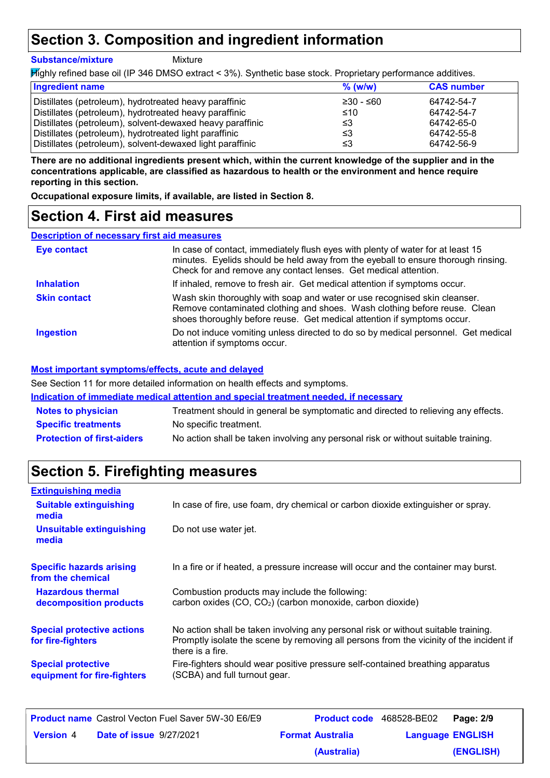### **Section 3. Composition and ingredient information**

#### **Substance/mixture**

Mixture

Highly refined base oil (IP 346 DMSO extract < 3%). Synthetic base stock. Proprietary performance additives.

| <b>Ingredient name</b>                                    | $%$ (w/w)   | <b>CAS number</b> |
|-----------------------------------------------------------|-------------|-------------------|
| Distillates (petroleum), hydrotreated heavy paraffinic    | $≥30 - ≤60$ | 64742-54-7        |
| Distillates (petroleum), hydrotreated heavy paraffinic    | ≤10         | 64742-54-7        |
| Distillates (petroleum), solvent-dewaxed heavy paraffinic | ≤3          | 64742-65-0        |
| Distillates (petroleum), hydrotreated light paraffinic    | ≤3          | 64742-55-8        |
| Distillates (petroleum), solvent-dewaxed light paraffinic | ≤3          | 64742-56-9        |

**There are no additional ingredients present which, within the current knowledge of the supplier and in the concentrations applicable, are classified as hazardous to health or the environment and hence require reporting in this section.**

**Occupational exposure limits, if available, are listed in Section 8.**

### **Section 4. First aid measures**

#### **Description of necessary first aid measures**

| <b>Eye contact</b>  | In case of contact, immediately flush eyes with plenty of water for at least 15<br>minutes. Eyelids should be held away from the eyeball to ensure thorough rinsing.<br>Check for and remove any contact lenses. Get medical attention. |
|---------------------|-----------------------------------------------------------------------------------------------------------------------------------------------------------------------------------------------------------------------------------------|
| <b>Inhalation</b>   | If inhaled, remove to fresh air. Get medical attention if symptoms occur.                                                                                                                                                               |
| <b>Skin contact</b> | Wash skin thoroughly with soap and water or use recognised skin cleanser.<br>Remove contaminated clothing and shoes. Wash clothing before reuse. Clean<br>shoes thoroughly before reuse. Get medical attention if symptoms occur.       |
| <b>Ingestion</b>    | Do not induce vomiting unless directed to do so by medical personnel. Get medical<br>attention if symptoms occur.                                                                                                                       |

#### **Most important symptoms/effects, acute and delayed**

See Section 11 for more detailed information on health effects and symptoms.

**Indication of immediate medical attention and special treatment needed, if necessary**

| <b>Notes to physician</b>         | Treatment should in general be symptomatic and directed to relieving any effects.  |
|-----------------------------------|------------------------------------------------------------------------------------|
| <b>Specific treatments</b>        | No specific treatment.                                                             |
| <b>Protection of first-aiders</b> | No action shall be taken involving any personal risk or without suitable training. |

### **Section 5. Firefighting measures**

| <b>Extinguishing media</b>                               |                                                                                                                                                                                                   |
|----------------------------------------------------------|---------------------------------------------------------------------------------------------------------------------------------------------------------------------------------------------------|
| <b>Suitable extinguishing</b><br>media                   | In case of fire, use foam, dry chemical or carbon dioxide extinguisher or spray.                                                                                                                  |
| Unsuitable extinguishing<br>media                        | Do not use water jet.                                                                                                                                                                             |
| <b>Specific hazards arising</b><br>from the chemical     | In a fire or if heated, a pressure increase will occur and the container may burst.                                                                                                               |
| <b>Hazardous thermal</b><br>decomposition products       | Combustion products may include the following:<br>carbon oxides (CO, CO <sub>2</sub> ) (carbon monoxide, carbon dioxide)                                                                          |
| <b>Special protective actions</b><br>for fire-fighters   | No action shall be taken involving any personal risk or without suitable training.<br>Promptly isolate the scene by removing all persons from the vicinity of the incident if<br>there is a fire. |
| <b>Special protective</b><br>equipment for fire-fighters | Fire-fighters should wear positive pressure self-contained breathing apparatus<br>(SCBA) and full turnout gear.                                                                                   |

| <b>Product name</b> Castrol Vecton Fuel Saver 5W-30 E6/E9 |                                |                         | Product code 468528-BE02 Page: 2/9 |           |
|-----------------------------------------------------------|--------------------------------|-------------------------|------------------------------------|-----------|
| <b>Version 4</b>                                          | <b>Date of issue 9/27/2021</b> | <b>Format Australia</b> | <b>Language ENGLISH</b>            |           |
|                                                           |                                | (Australia)             |                                    | (ENGLISH) |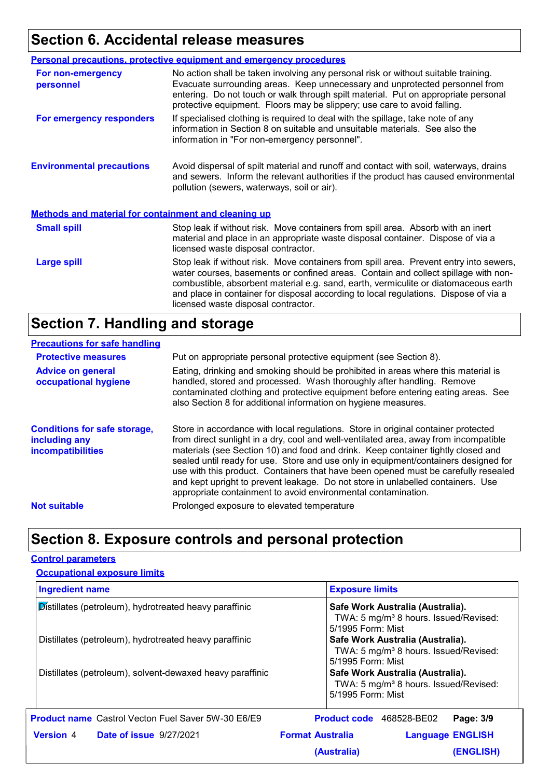### **Section 6. Accidental release measures**

|                                                             | <b>Personal precautions, protective equipment and emergency procedures</b>                                                                                                                                                                                                                                                                                                                         |
|-------------------------------------------------------------|----------------------------------------------------------------------------------------------------------------------------------------------------------------------------------------------------------------------------------------------------------------------------------------------------------------------------------------------------------------------------------------------------|
| For non-emergency<br>personnel                              | No action shall be taken involving any personal risk or without suitable training.<br>Evacuate surrounding areas. Keep unnecessary and unprotected personnel from<br>entering. Do not touch or walk through spilt material. Put on appropriate personal<br>protective equipment. Floors may be slippery; use care to avoid falling.                                                                |
| For emergency responders                                    | If specialised clothing is required to deal with the spillage, take note of any<br>information in Section 8 on suitable and unsuitable materials. See also the<br>information in "For non-emergency personnel".                                                                                                                                                                                    |
| <b>Environmental precautions</b>                            | Avoid dispersal of spilt material and runoff and contact with soil, waterways, drains<br>and sewers. Inform the relevant authorities if the product has caused environmental<br>pollution (sewers, waterways, soil or air).                                                                                                                                                                        |
| <b>Methods and material for containment and cleaning up</b> |                                                                                                                                                                                                                                                                                                                                                                                                    |
| <b>Small spill</b>                                          | Stop leak if without risk. Move containers from spill area. Absorb with an inert<br>material and place in an appropriate waste disposal container. Dispose of via a<br>licensed waste disposal contractor.                                                                                                                                                                                         |
| <b>Large spill</b>                                          | Stop leak if without risk. Move containers from spill area. Prevent entry into sewers,<br>water courses, basements or confined areas. Contain and collect spillage with non-<br>combustible, absorbent material e.g. sand, earth, vermiculite or diatomaceous earth<br>and place in container for disposal according to local regulations. Dispose of via a<br>licensed waste disposal contractor. |

### **Section 7. Handling and storage**

#### **Precautions for safe handling**

| <b>Protective measures</b>                                                       | Put on appropriate personal protective equipment (see Section 8).                                                                                                                                                                                                                                                                                                                                                                                                                                                                                                                              |
|----------------------------------------------------------------------------------|------------------------------------------------------------------------------------------------------------------------------------------------------------------------------------------------------------------------------------------------------------------------------------------------------------------------------------------------------------------------------------------------------------------------------------------------------------------------------------------------------------------------------------------------------------------------------------------------|
| <b>Advice on general</b><br>occupational hygiene                                 | Eating, drinking and smoking should be prohibited in areas where this material is<br>handled, stored and processed. Wash thoroughly after handling. Remove<br>contaminated clothing and protective equipment before entering eating areas. See<br>also Section 8 for additional information on hygiene measures.                                                                                                                                                                                                                                                                               |
| <b>Conditions for safe storage,</b><br>including any<br><b>incompatibilities</b> | Store in accordance with local regulations. Store in original container protected<br>from direct sunlight in a dry, cool and well-ventilated area, away from incompatible<br>materials (see Section 10) and food and drink. Keep container tightly closed and<br>sealed until ready for use. Store and use only in equipment/containers designed for<br>use with this product. Containers that have been opened must be carefully resealed<br>and kept upright to prevent leakage. Do not store in unlabelled containers. Use<br>appropriate containment to avoid environmental contamination. |
| <b>Not suitable</b>                                                              | Prolonged exposure to elevated temperature                                                                                                                                                                                                                                                                                                                                                                                                                                                                                                                                                     |

### **Section 8. Exposure controls and personal protection**

#### **Control parameters**

| <b>Occupational exposure limits</b>                       |                                                                                                            |
|-----------------------------------------------------------|------------------------------------------------------------------------------------------------------------|
| <b>Ingredient name</b>                                    | <b>Exposure limits</b>                                                                                     |
| Distillates (petroleum), hydrotreated heavy paraffinic    | Safe Work Australia (Australia).<br>TWA: 5 mg/m <sup>3</sup> 8 hours. Issued/Revised:<br>5/1995 Form: Mist |
| Distillates (petroleum), hydrotreated heavy paraffinic    | Safe Work Australia (Australia).<br>TWA: 5 mg/m <sup>3</sup> 8 hours. Issued/Revised:<br>5/1995 Form: Mist |
| Distillates (petroleum), solvent-dewaxed heavy paraffinic | Safe Work Australia (Australia).<br>TWA: 5 mg/m <sup>3</sup> 8 hours. Issued/Revised:<br>5/1995 Form: Mist |
| <b>Product name</b> Castrol Vecton Fuel Saver 5W-30 E6/E9 | <b>Product code</b> 468528-BE02<br>Page: 3/9                                                               |
| <b>Version</b> 4<br><b>Date of issue 9/27/2021</b>        | <b>Format Australia</b><br><b>Language ENGLISH</b>                                                         |
|                                                           | <b>(ENGLISH)</b><br>(Australia)                                                                            |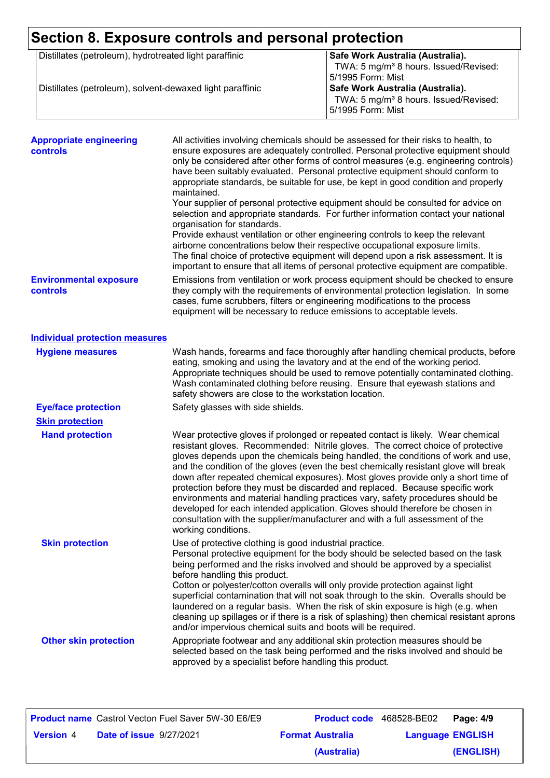# **Section 8. Exposure controls and personal protection**

| Distillates (petroleum), hydrotreated light paraffinic    | Safe Work Australia (Australia).                  |
|-----------------------------------------------------------|---------------------------------------------------|
|                                                           | TWA: 5 mg/m <sup>3</sup> 8 hours. Issued/Revised: |
|                                                           | 5/1995 Form: Mist                                 |
| Distillates (petroleum), solvent-dewaxed light paraffinic | Safe Work Australia (Australia).                  |
|                                                           | TWA: 5 mg/m <sup>3</sup> 8 hours. Issued/Revised: |
|                                                           | 5/1995 Form: Mist                                 |
|                                                           |                                                   |

| <b>Appropriate engineering</b><br>controls | All activities involving chemicals should be assessed for their risks to health, to<br>ensure exposures are adequately controlled. Personal protective equipment should<br>only be considered after other forms of control measures (e.g. engineering controls)<br>have been suitably evaluated. Personal protective equipment should conform to<br>appropriate standards, be suitable for use, be kept in good condition and properly<br>maintained.<br>Your supplier of personal protective equipment should be consulted for advice on<br>selection and appropriate standards. For further information contact your national<br>organisation for standards.<br>Provide exhaust ventilation or other engineering controls to keep the relevant<br>airborne concentrations below their respective occupational exposure limits.<br>The final choice of protective equipment will depend upon a risk assessment. It is<br>important to ensure that all items of personal protective equipment are compatible. |
|--------------------------------------------|---------------------------------------------------------------------------------------------------------------------------------------------------------------------------------------------------------------------------------------------------------------------------------------------------------------------------------------------------------------------------------------------------------------------------------------------------------------------------------------------------------------------------------------------------------------------------------------------------------------------------------------------------------------------------------------------------------------------------------------------------------------------------------------------------------------------------------------------------------------------------------------------------------------------------------------------------------------------------------------------------------------|
| <b>Environmental exposure</b><br>controls  | Emissions from ventilation or work process equipment should be checked to ensure<br>they comply with the requirements of environmental protection legislation. In some<br>cases, fume scrubbers, filters or engineering modifications to the process<br>equipment will be necessary to reduce emissions to acceptable levels.                                                                                                                                                                                                                                                                                                                                                                                                                                                                                                                                                                                                                                                                                 |
| <b>Individual protection measures</b>      |                                                                                                                                                                                                                                                                                                                                                                                                                                                                                                                                                                                                                                                                                                                                                                                                                                                                                                                                                                                                               |
| <b>Hygiene measures</b>                    | Wash hands, forearms and face thoroughly after handling chemical products, before<br>eating, smoking and using the lavatory and at the end of the working period.<br>Appropriate techniques should be used to remove potentially contaminated clothing.<br>Wash contaminated clothing before reusing. Ensure that eyewash stations and<br>safety showers are close to the workstation location.                                                                                                                                                                                                                                                                                                                                                                                                                                                                                                                                                                                                               |
| <b>Eye/face protection</b>                 | Safety glasses with side shields.                                                                                                                                                                                                                                                                                                                                                                                                                                                                                                                                                                                                                                                                                                                                                                                                                                                                                                                                                                             |
| <b>Skin protection</b>                     |                                                                                                                                                                                                                                                                                                                                                                                                                                                                                                                                                                                                                                                                                                                                                                                                                                                                                                                                                                                                               |
| <b>Hand protection</b>                     | Wear protective gloves if prolonged or repeated contact is likely. Wear chemical<br>resistant gloves. Recommended: Nitrile gloves. The correct choice of protective<br>gloves depends upon the chemicals being handled, the conditions of work and use,<br>and the condition of the gloves (even the best chemically resistant glove will break<br>down after repeated chemical exposures). Most gloves provide only a short time of<br>protection before they must be discarded and replaced. Because specific work<br>environments and material handling practices vary, safety procedures should be<br>developed for each intended application. Gloves should therefore be chosen in<br>consultation with the supplier/manufacturer and with a full assessment of the<br>working conditions.                                                                                                                                                                                                               |
| <b>Skin protection</b>                     | Use of protective clothing is good industrial practice.<br>Personal protective equipment for the body should be selected based on the task<br>being performed and the risks involved and should be approved by a specialist<br>before handling this product.<br>Cotton or polyester/cotton overalls will only provide protection against light<br>superficial contamination that will not soak through to the skin. Overalls should be<br>laundered on a regular basis. When the risk of skin exposure is high (e.g. when<br>cleaning up spillages or if there is a risk of splashing) then chemical resistant aprons<br>and/or impervious chemical suits and boots will be required.                                                                                                                                                                                                                                                                                                                         |
| <b>Other skin protection</b>               | Appropriate footwear and any additional skin protection measures should be<br>selected based on the task being performed and the risks involved and should be<br>approved by a specialist before handling this product.                                                                                                                                                                                                                                                                                                                                                                                                                                                                                                                                                                                                                                                                                                                                                                                       |

|                  |                                | <b>Product name</b> Castrol Vecton Fuel Saver 5W-30 E6/E9 | <b>Product code</b> 468528-BE02 |                         | Page: 4/9 |
|------------------|--------------------------------|-----------------------------------------------------------|---------------------------------|-------------------------|-----------|
| <b>Version 4</b> | <b>Date of issue 9/27/2021</b> |                                                           | <b>Format Australia</b>         | <b>Language ENGLISH</b> |           |
|                  |                                |                                                           | (Australia)                     |                         | (ENGLISH) |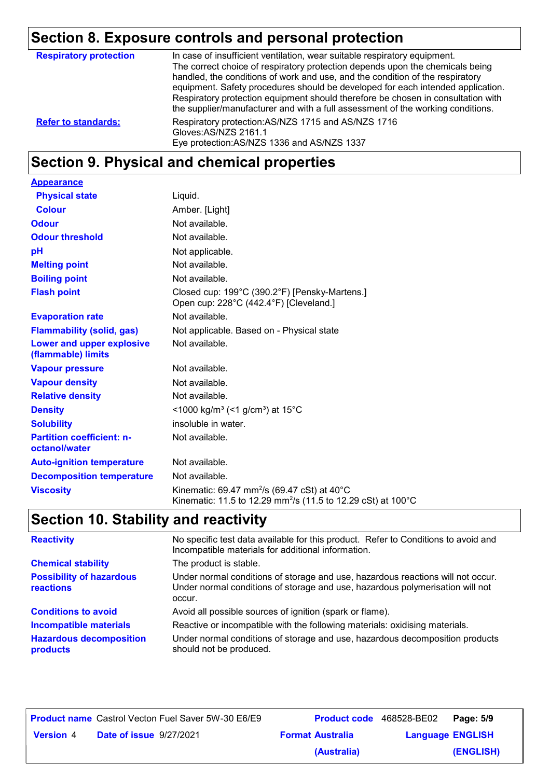### **Section 8. Exposure controls and personal protection**

| <b>Respiratory protection</b> | In case of insufficient ventilation, wear suitable respiratory equipment.<br>The correct choice of respiratory protection depends upon the chemicals being<br>handled, the conditions of work and use, and the condition of the respiratory<br>equipment. Safety procedures should be developed for each intended application.<br>Respiratory protection equipment should therefore be chosen in consultation with<br>the supplier/manufacturer and with a full assessment of the working conditions. |
|-------------------------------|-------------------------------------------------------------------------------------------------------------------------------------------------------------------------------------------------------------------------------------------------------------------------------------------------------------------------------------------------------------------------------------------------------------------------------------------------------------------------------------------------------|
| <b>Refer to standards:</b>    | Respiratory protection: AS/NZS 1715 and AS/NZS 1716<br>Gloves:AS/NZS 2161.1<br>Eye protection: AS/NZS 1336 and AS/NZS 1337                                                                                                                                                                                                                                                                                                                                                                            |

### **Section 9. Physical and chemical properties**

| <b>Appearance</b>                                 |                                                                                                                                                |
|---------------------------------------------------|------------------------------------------------------------------------------------------------------------------------------------------------|
| <b>Physical state</b>                             | Liquid.                                                                                                                                        |
| <b>Colour</b>                                     | Amber. [Light]                                                                                                                                 |
| <b>Odour</b>                                      | Not available.                                                                                                                                 |
| <b>Odour threshold</b>                            | Not available.                                                                                                                                 |
| pH                                                | Not applicable.                                                                                                                                |
| <b>Melting point</b>                              | Not available.                                                                                                                                 |
| <b>Boiling point</b>                              | Not available.                                                                                                                                 |
| <b>Flash point</b>                                | Closed cup: 199°C (390.2°F) [Pensky-Martens.]<br>Open cup: 228°C (442.4°F) [Cleveland.]                                                        |
| <b>Evaporation rate</b>                           | Not available.                                                                                                                                 |
| <b>Flammability (solid, gas)</b>                  | Not applicable. Based on - Physical state                                                                                                      |
| Lower and upper explosive<br>(flammable) limits   | Not available.                                                                                                                                 |
| <b>Vapour pressure</b>                            | Not available.                                                                                                                                 |
| <b>Vapour density</b>                             | Not available.                                                                                                                                 |
| <b>Relative density</b>                           | Not available.                                                                                                                                 |
| <b>Density</b>                                    | <1000 kg/m <sup>3</sup> (<1 g/cm <sup>3</sup> ) at 15°C                                                                                        |
| <b>Solubility</b>                                 | insoluble in water.                                                                                                                            |
| <b>Partition coefficient: n-</b><br>octanol/water | Not available.                                                                                                                                 |
| <b>Auto-ignition temperature</b>                  | Not available.                                                                                                                                 |
| <b>Decomposition temperature</b>                  | Not available.                                                                                                                                 |
| <b>Viscosity</b>                                  | Kinematic: 69.47 mm <sup>2</sup> /s (69.47 cSt) at 40 $^{\circ}$ C<br>Kinematic: 11.5 to 12.29 mm <sup>2</sup> /s (11.5 to 12.29 cSt) at 100°C |

## **Section 10. Stability and reactivity**

| <b>Reactivity</b>                            | No specific test data available for this product. Refer to Conditions to avoid and<br>Incompatible materials for additional information.                                   |
|----------------------------------------------|----------------------------------------------------------------------------------------------------------------------------------------------------------------------------|
| <b>Chemical stability</b>                    | The product is stable.                                                                                                                                                     |
| <b>Possibility of hazardous</b><br>reactions | Under normal conditions of storage and use, hazardous reactions will not occur.<br>Under normal conditions of storage and use, hazardous polymerisation will not<br>occur. |
| <b>Conditions to avoid</b>                   | Avoid all possible sources of ignition (spark or flame).                                                                                                                   |
| <b>Incompatible materials</b>                | Reactive or incompatible with the following materials: oxidising materials.                                                                                                |
| <b>Hazardous decomposition</b><br>products   | Under normal conditions of storage and use, hazardous decomposition products<br>should not be produced.                                                                    |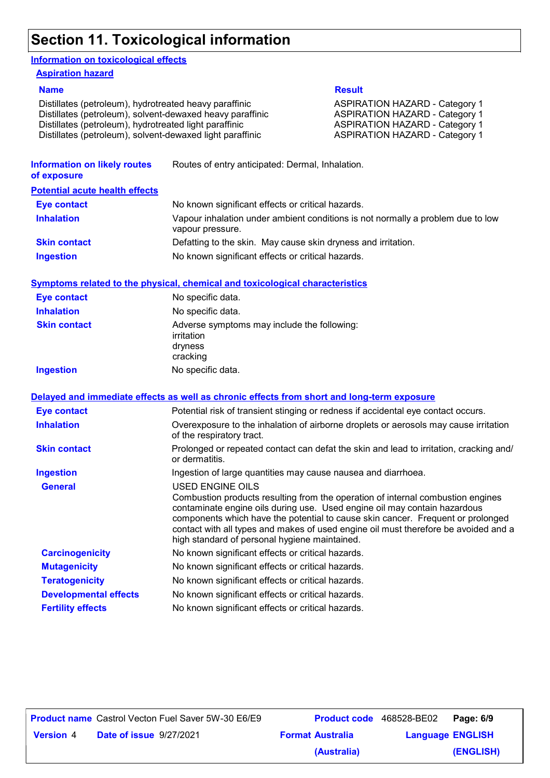### **Section 11. Toxicological information**

#### **Information on toxicological effects**

#### **Aspiration hazard**

Distillates (petroleum), hydrotreated heavy paraffinic **ASPIRATION HAZARD** - Category 1 Distillates (petroleum), solvent-dewaxed heavy paraffinic ASPIRATION HAZARD - Category 1 Distillates (petroleum), hydrotreated light paraffinic **ASPIRATION HAZARD** - Category 1 Distillates (petroleum), solvent-dewaxed light paraffinic ASPIRATION HAZARD - Category 1

#### **Name Result**

| <b>Information on likely routes</b><br>of exposure | Routes of entry anticipated: Dermal, Inhalation.                                                                                                                                                                                                                                                                                                                                                                   |
|----------------------------------------------------|--------------------------------------------------------------------------------------------------------------------------------------------------------------------------------------------------------------------------------------------------------------------------------------------------------------------------------------------------------------------------------------------------------------------|
| <b>Potential acute health effects</b>              |                                                                                                                                                                                                                                                                                                                                                                                                                    |
| <b>Eye contact</b>                                 | No known significant effects or critical hazards.                                                                                                                                                                                                                                                                                                                                                                  |
| <b>Inhalation</b>                                  | Vapour inhalation under ambient conditions is not normally a problem due to low<br>vapour pressure.                                                                                                                                                                                                                                                                                                                |
| <b>Skin contact</b>                                | Defatting to the skin. May cause skin dryness and irritation.                                                                                                                                                                                                                                                                                                                                                      |
| <b>Ingestion</b>                                   | No known significant effects or critical hazards.                                                                                                                                                                                                                                                                                                                                                                  |
|                                                    | <b>Symptoms related to the physical, chemical and toxicological characteristics</b>                                                                                                                                                                                                                                                                                                                                |
| <b>Eye contact</b>                                 | No specific data.                                                                                                                                                                                                                                                                                                                                                                                                  |
| <b>Inhalation</b>                                  | No specific data.                                                                                                                                                                                                                                                                                                                                                                                                  |
| <b>Skin contact</b>                                | Adverse symptoms may include the following:<br>irritation<br>dryness<br>cracking                                                                                                                                                                                                                                                                                                                                   |
| <b>Ingestion</b>                                   | No specific data.                                                                                                                                                                                                                                                                                                                                                                                                  |
|                                                    | Delayed and immediate effects as well as chronic effects from short and long-term exposure                                                                                                                                                                                                                                                                                                                         |
| <b>Eye contact</b>                                 | Potential risk of transient stinging or redness if accidental eye contact occurs.                                                                                                                                                                                                                                                                                                                                  |
| <b>Inhalation</b>                                  | Overexposure to the inhalation of airborne droplets or aerosols may cause irritation<br>of the respiratory tract.                                                                                                                                                                                                                                                                                                  |
| <b>Skin contact</b>                                | Prolonged or repeated contact can defat the skin and lead to irritation, cracking and/<br>or dermatitis.                                                                                                                                                                                                                                                                                                           |
| <b>Ingestion</b>                                   | Ingestion of large quantities may cause nausea and diarrhoea.                                                                                                                                                                                                                                                                                                                                                      |
| <b>General</b>                                     | <b>USED ENGINE OILS</b><br>Combustion products resulting from the operation of internal combustion engines<br>contaminate engine oils during use. Used engine oil may contain hazardous<br>components which have the potential to cause skin cancer. Frequent or prolonged<br>contact with all types and makes of used engine oil must therefore be avoided and a<br>high standard of personal hygiene maintained. |
| <b>Carcinogenicity</b>                             | No known significant effects or critical hazards.                                                                                                                                                                                                                                                                                                                                                                  |
| <b>Mutagenicity</b>                                | No known significant effects or critical hazards.                                                                                                                                                                                                                                                                                                                                                                  |
| <b>Teratogenicity</b>                              | No known significant effects or critical hazards.                                                                                                                                                                                                                                                                                                                                                                  |
| <b>Developmental effects</b>                       | No known significant effects or critical hazards.                                                                                                                                                                                                                                                                                                                                                                  |
| <b>Fertility effects</b>                           | No known significant effects or critical hazards.                                                                                                                                                                                                                                                                                                                                                                  |

|                  |                                | <b>Product name</b> Castrol Vecton Fuel Saver 5W-30 E6/E9 | <b>Product code</b> 468528-BE02 |                         | Page: 6/9 |
|------------------|--------------------------------|-----------------------------------------------------------|---------------------------------|-------------------------|-----------|
| <b>Version 4</b> | <b>Date of issue 9/27/2021</b> |                                                           | <b>Format Australia</b>         | <b>Language ENGLISH</b> |           |
|                  |                                |                                                           | (Australia)                     |                         | (ENGLISH) |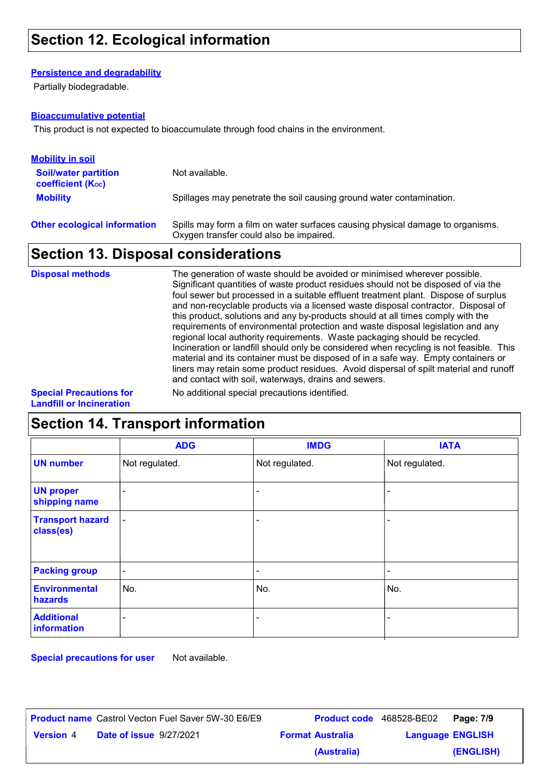#### **Persistence and degradability**

Partially biodegradable.

#### **Bioaccumulative potential**

This product is not expected to bioaccumulate through food chains in the environment.

| <b>Mobility in soil</b>                               |                                                                                                                           |
|-------------------------------------------------------|---------------------------------------------------------------------------------------------------------------------------|
| <b>Soil/water partition</b><br>coefficient $(K_{oc})$ | Not available.                                                                                                            |
| <b>Mobility</b>                                       | Spillages may penetrate the soil causing ground water contamination.                                                      |
| <b>Other ecological information</b>                   | Spills may form a film on water surfaces causing physical damage to organisms.<br>Oxygen transfer could also be impaired. |

### **Section 13. Disposal considerations**

| <b>Disposal methods</b>                         | The generation of waste should be avoided or minimised wherever possible.<br>Significant quantities of waste product residues should not be disposed of via the<br>foul sewer but processed in a suitable effluent treatment plant. Dispose of surplus<br>and non-recyclable products via a licensed waste disposal contractor. Disposal of<br>this product, solutions and any by-products should at all times comply with the<br>requirements of environmental protection and waste disposal legislation and any<br>regional local authority requirements. Waste packaging should be recycled.<br>Incineration or landfill should only be considered when recycling is not feasible. This<br>material and its container must be disposed of in a safe way. Empty containers or<br>liners may retain some product residues. Avoid dispersal of spilt material and runoff<br>and contact with soil, waterways, drains and sewers. |
|-------------------------------------------------|----------------------------------------------------------------------------------------------------------------------------------------------------------------------------------------------------------------------------------------------------------------------------------------------------------------------------------------------------------------------------------------------------------------------------------------------------------------------------------------------------------------------------------------------------------------------------------------------------------------------------------------------------------------------------------------------------------------------------------------------------------------------------------------------------------------------------------------------------------------------------------------------------------------------------------|
| <b>Outside District Constants Communication</b> | المتعاكلة والمتارين والمستحلف والمستحدث والمتحدث والمتاريخ والماري                                                                                                                                                                                                                                                                                                                                                                                                                                                                                                                                                                                                                                                                                                                                                                                                                                                               |

**Special Precautions for Landfill or Incineration**

No additional special precautions identified.

### **Section 14. Transport information**

|                                      | <b>ADG</b>               | <b>IMDG</b>              | <b>IATA</b>              |
|--------------------------------------|--------------------------|--------------------------|--------------------------|
| <b>UN number</b>                     | Not regulated.           | Not regulated.           | Not regulated.           |
| <b>UN proper</b><br>shipping name    | $\overline{\phantom{a}}$ |                          |                          |
| <b>Transport hazard</b><br>class(es) | $\overline{\phantom{a}}$ |                          |                          |
| <b>Packing group</b>                 | $\overline{\phantom{a}}$ | $\overline{\phantom{0}}$ | $\overline{\phantom{0}}$ |
| <b>Environmental</b><br>hazards      | No.                      | No.                      | No.                      |
| <b>Additional</b><br>information     |                          |                          |                          |

**Special precautions for user** Not available.

| <b>Product name</b> Castrol Vecton Fuel Saver 5W-30 E6/E9 |                         | <b>Product code</b> 468528-BE02 | Page: 7/9 |
|-----------------------------------------------------------|-------------------------|---------------------------------|-----------|
| <b>Date of issue 9/27/2021</b><br><b>Version 4</b>        | <b>Format Australia</b> | <b>Language ENGLISH</b>         |           |
|                                                           | (Australia)             |                                 | (ENGLISH) |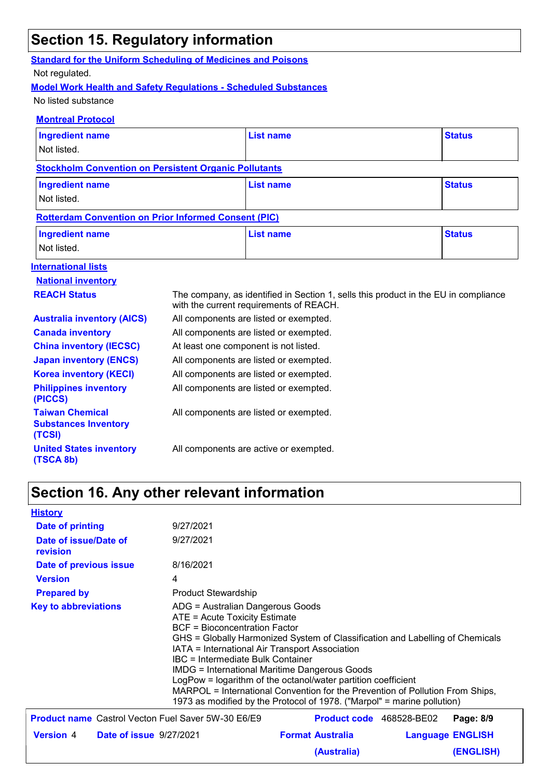### **Section 15. Regulatory information**

### **Standard for the Uniform Scheduling of Medicines and Poisons**

#### Not regulated.

#### **Model Work Health and Safety Regulations - Scheduled Substances**

No listed substance

#### **Montreal Protocol**

| <b>Ingredient name</b>                                          |                                                                                                                                | <b>List name</b>                       | <b>Status</b> |
|-----------------------------------------------------------------|--------------------------------------------------------------------------------------------------------------------------------|----------------------------------------|---------------|
| Not listed.                                                     |                                                                                                                                |                                        |               |
| <b>Stockholm Convention on Persistent Organic Pollutants</b>    |                                                                                                                                |                                        |               |
| <b>Ingredient name</b>                                          |                                                                                                                                | <b>List name</b>                       | <b>Status</b> |
| Not listed.                                                     |                                                                                                                                |                                        |               |
| <b>Rotterdam Convention on Prior Informed Consent (PIC)</b>     |                                                                                                                                |                                        |               |
| <b>Ingredient name</b>                                          |                                                                                                                                | <b>List name</b>                       | <b>Status</b> |
| Not listed.                                                     |                                                                                                                                |                                        |               |
| <b>International lists</b>                                      |                                                                                                                                |                                        |               |
| <b>National inventory</b>                                       |                                                                                                                                |                                        |               |
| <b>REACH Status</b>                                             | The company, as identified in Section 1, sells this product in the EU in compliance<br>with the current requirements of REACH. |                                        |               |
| <b>Australia inventory (AICS)</b>                               | All components are listed or exempted.                                                                                         |                                        |               |
| <b>Canada inventory</b>                                         | All components are listed or exempted.                                                                                         |                                        |               |
| <b>China inventory (IECSC)</b>                                  | At least one component is not listed.                                                                                          |                                        |               |
| <b>Japan inventory (ENCS)</b>                                   | All components are listed or exempted.                                                                                         |                                        |               |
| <b>Korea inventory (KECI)</b>                                   | All components are listed or exempted.                                                                                         |                                        |               |
| <b>Philippines inventory</b><br>(PICCS)                         |                                                                                                                                | All components are listed or exempted. |               |
| <b>Taiwan Chemical</b><br><b>Substances Inventory</b><br>(TCSI) |                                                                                                                                | All components are listed or exempted. |               |
| <b>United States inventory</b><br>(TSCA 8b)                     |                                                                                                                                | All components are active or exempted. |               |

### **Section 16. Any other relevant information**

| <b>History</b>                                            |                                                                                                                                                                                                                                                                                                                                                                                                                                                                                                                                                                               |                                 |  |                         |
|-----------------------------------------------------------|-------------------------------------------------------------------------------------------------------------------------------------------------------------------------------------------------------------------------------------------------------------------------------------------------------------------------------------------------------------------------------------------------------------------------------------------------------------------------------------------------------------------------------------------------------------------------------|---------------------------------|--|-------------------------|
| Date of printing                                          | 9/27/2021                                                                                                                                                                                                                                                                                                                                                                                                                                                                                                                                                                     |                                 |  |                         |
| Date of issue/Date of<br>revision                         | 9/27/2021                                                                                                                                                                                                                                                                                                                                                                                                                                                                                                                                                                     |                                 |  |                         |
| Date of previous issue                                    | 8/16/2021                                                                                                                                                                                                                                                                                                                                                                                                                                                                                                                                                                     |                                 |  |                         |
| <b>Version</b>                                            | 4                                                                                                                                                                                                                                                                                                                                                                                                                                                                                                                                                                             |                                 |  |                         |
| <b>Prepared by</b>                                        | Product Stewardship                                                                                                                                                                                                                                                                                                                                                                                                                                                                                                                                                           |                                 |  |                         |
| <b>Key to abbreviations</b>                               | ADG = Australian Dangerous Goods<br>ATE = Acute Toxicity Estimate<br><b>BCF</b> = Bioconcentration Factor<br>GHS = Globally Harmonized System of Classification and Labelling of Chemicals<br>IATA = International Air Transport Association<br><b>IBC</b> = Intermediate Bulk Container<br><b>IMDG = International Maritime Dangerous Goods</b><br>LogPow = logarithm of the octanol/water partition coefficient<br>MARPOL = International Convention for the Prevention of Pollution From Ships,<br>1973 as modified by the Protocol of 1978. ("Marpol" = marine pollution) |                                 |  |                         |
| <b>Product name</b> Castrol Vecton Fuel Saver 5W-30 E6/E9 |                                                                                                                                                                                                                                                                                                                                                                                                                                                                                                                                                                               | <b>Product code</b> 468528-BE02 |  | Page: 8/9               |
| <b>Date of issue 9/27/2021</b><br><b>Version 4</b>        |                                                                                                                                                                                                                                                                                                                                                                                                                                                                                                                                                                               | <b>Format Australia</b>         |  | <b>Language ENGLISH</b> |
|                                                           |                                                                                                                                                                                                                                                                                                                                                                                                                                                                                                                                                                               | (Australia)                     |  | (ENGLISH)               |